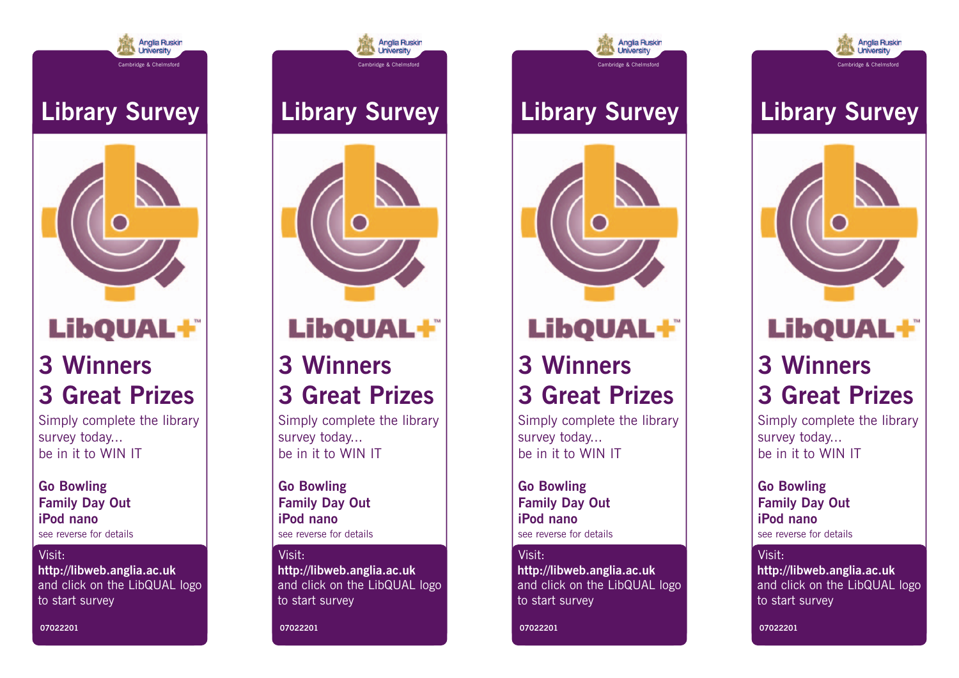

### **Library Survey**



## **LibQUAL+**

### **3 Winners 3 Great Prizes**

Simply complete the library survey today... be in it to WIN IT

**Go Bowling Family Day Out iPod nano** see reverse for details

#### Visit:

**http://libweb.anglia.ac.uk** and click on the LibQUAL logo to start survey

**07022201**



Cambridge & Chelmsford

**Anglia Ruskin** 

**University** 



# **LibQUAL+**

### **3 Winners 3 Great Prizes**

Simply complete the library survey today... be in it to WIN IT

**Go Bowling Family Day Out iPod nano** see reverse for details

#### Visit:

**http://libweb.anglia.ac.uk** and click on the LibQUAL logo to start survey

**07022201**

# **Library Survey**

Cambridge & Chelmsford

**Anglia Ruskin** 

**University** 



# **LibQUAL+**

### **3 Winners 3 Great Prizes**

Simply complete the library survey today... be in it to WIN IT

**Go Bowling Family Day Out iPod nano** see reverse for details

#### Visit:

**http://libweb.anglia.ac.uk** and click on the LibQUAL logo to start survey

**07022201**



Cambridge & Chelmsford

**Anglia Ruskin** 

**University** 



### **LibQUAL+**

### **3 Winners 3 Great Prizes**

Simply complete the library survey today... be in it to WIN IT

**Go Bowling Family Day Out iPod nano** see reverse for details

#### Visit:

**http://libweb.anglia.ac.uk** and click on the LibQUAL logo to start survey

**07022201**